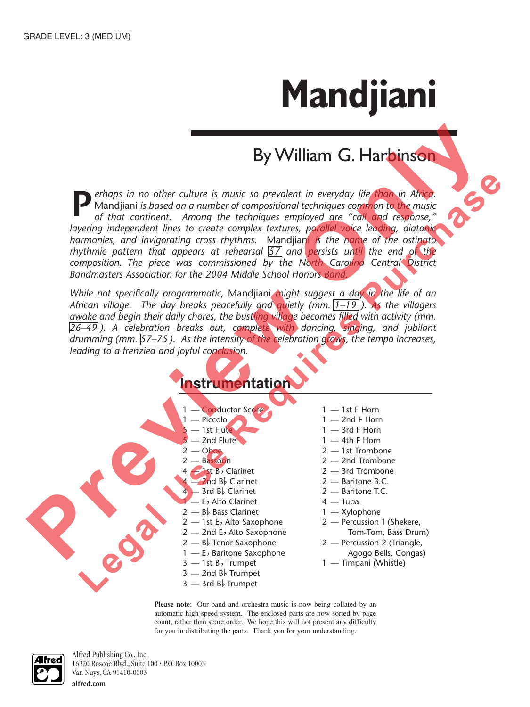## **Mandjiani**

## By William G. Harbinson

*erhaps in no other culture is music so prevalent in everyday life than in Africa.* Mandjiani *is based on a number of compositional techniques common to the music of that continent. Among the techniques employed are "call and response," layering independent lines to create complex textures, parallel voice leading, diatonic harmonies, and invigorating cross rhythms.* Mandjiani *is the name of the ostinato rhythmic pattern that appears at rehearsal 57 and persists until the end of the composition. The piece was commissioned by the North Carolina Central District Bandmasters Association for the 2004 Middle School Honors Band.* **P**

*While not specifically programmatic,* Mandjiani *might suggest a day in the life of an African village. The day breaks peacefully and quietly (mm. 1–19 ). As the villagers awake and begin their daily chores, the bustling village becomes filled with activity (mm. 26–49 ). A celebration breaks out, complete with dancing, singing, and jubilant drumming (mm. 57–75 ). As the intensity of the celebration grows, the tempo increases, leading to a frenzied and joyful conclusion.*



**Please note**: Our band and orchestra music is now being collated by an automatic high-speed system. The enclosed parts are now sorted by page count, rather than score order. We hope this will not present any difficulty for you in distributing the parts. Thank you for your understanding.



Alfred Publishing Co., Inc. 16320 Roscoe Blvd., Suite 100 • P.O. Box 10003 Van Nuys, CA 91410-0003 **alfred.com**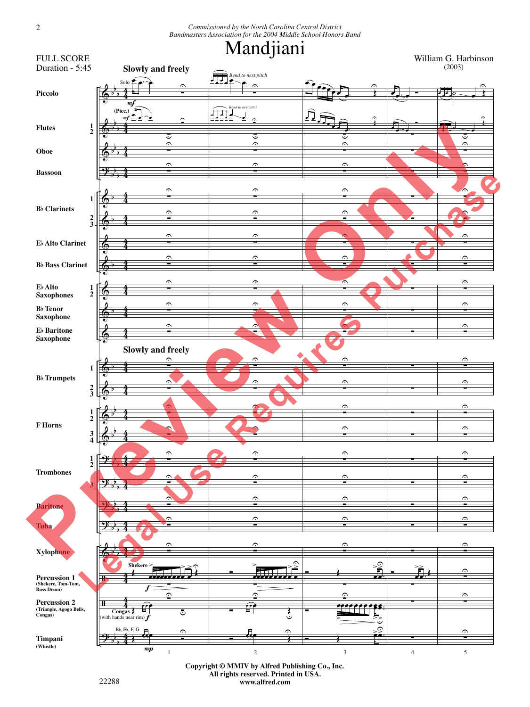*Commissioned by the North Carolina Central District Bandmasters Association for the 2004 Middle School Honors Band*

|                                                |                                                                             | Mandjiani                    |                              |                      |                                |
|------------------------------------------------|-----------------------------------------------------------------------------|------------------------------|------------------------------|----------------------|--------------------------------|
| <b>FULL SCORE</b><br>Duration - 5:45           | <b>Slowly and freely</b>                                                    | $\hat{=}$ Bend to next pitch |                              |                      | William G. Harbinson<br>(2003) |
|                                                | Solo $\blacktriangleright$<br>؞                                             |                              |                              |                      |                                |
| Piccolo                                        |                                                                             |                              |                              |                      |                                |
|                                                | mf<br>(Picc.)                                                               | Bend to next pitch           |                              |                      |                                |
|                                                | m f<br>$\widehat{\phantom{a}}$                                              |                              | $\widehat{\bm{\Gamma}}$      |                      |                                |
| $\frac{1}{2}$<br><b>Flutes</b>                 | $\overline{\mathbb{C}}$                                                     | $\ddot{\mathbf{v}}$          |                              |                      |                                |
|                                                | $\widehat{\phantom{m}}$                                                     | $\Omega$                     | ತ<br>$\widehat{\phantom{a}}$ |                      | ಲ<br>$\curvearrowright$        |
| Oboe                                           | ▬                                                                           |                              |                              |                      |                                |
| <b>Bassoon</b>                                 | $\widehat{\phantom{m}}$                                                     | $\curvearrowright$<br>÷      | $\hat{ }$<br>-               |                      |                                |
|                                                |                                                                             |                              |                              |                      |                                |
|                                                | $\hat{ }$                                                                   | $\widehat{\phantom{a}}$      | $\curvearrowright$           |                      |                                |
| <b>B</b> <sub>b</sub> Clarinets                |                                                                             |                              |                              |                      |                                |
| $\frac{2}{3}$                                  | $\hat{ }$                                                                   | $\hat{ }$                    | $\hat{ }$                    |                      |                                |
|                                                |                                                                             |                              |                              |                      |                                |
| Eb Alto Clarinet                               | $\widehat{\phantom{m}}$<br>Ä                                                | $\hat{ }$                    | $\bullet$<br>÷               |                      | $\curvearrowright$             |
|                                                | $\curvearrowright$                                                          | $\curvearrowright$           | $\hat{ }$                    |                      | $\widehat{\phantom{m}}$        |
| $\mathbf{B}\flat$ Bass Clarinet                | ÷                                                                           |                              | ÷                            |                      |                                |
|                                                |                                                                             |                              |                              |                      |                                |
| $E\flat$ Alto<br>$\frac{1}{2}$                 | $\widehat{\phantom{a}}$                                                     | ⌒                            | $\overline{\phantom{1}}$     |                      | پر                             |
| <b>Saxophones</b>                              | $\widehat{\phantom{a}}$                                                     | $\curvearrowright$           | $\curvearrowright$           |                      | $\hat{ }$                      |
| $\mathbf{B}\flat$ Tenor<br>Saxophone           |                                                                             | ÷                            |                              |                      |                                |
| Eb Baritone                                    | $\widehat{\phantom{m}}$                                                     | $\widehat{\phantom{a}}$      |                              |                      | $\widehat{\phantom{m}}$        |
| <b>Saxophone</b>                               | te.                                                                         |                              |                              |                      |                                |
|                                                | Slowly and freely                                                           |                              |                              |                      |                                |
|                                                | ؞                                                                           | ⌒                            | ⌒                            |                      | $\widehat{\phantom{a}}$        |
| 1<br><b>B</b> <sup>b</sup> Trumpets            |                                                                             |                              |                              |                      |                                |
| $\frac{2}{3}$                                  | $\sim$                                                                      | $\curvearrowright$           | $\hat{ }$                    |                      | $\hat{ }$                      |
|                                                |                                                                             |                              |                              |                      |                                |
| $\frac{1}{2}$                                  |                                                                             |                              | $\hat{\phantom{a}}$          |                      | $\hat{\phantom{a}}$            |
| F Horns                                        | ↷                                                                           |                              | $\hat{ }$                    |                      | $\hat{ }$                      |
| $\frac{3}{4}$                                  |                                                                             |                              |                              |                      | -                              |
|                                                | ⌒                                                                           | $\curvearrowright$           | $\curvearrowright$           |                      | ⌒                              |
| $\frac{1}{2}$                                  |                                                                             |                              |                              |                      |                                |
| <b>Trombones</b>                               | ⌒                                                                           | ⌒                            | ⌒                            |                      | ⌒                              |
|                                                |                                                                             |                              |                              |                      |                                |
|                                                | $\hat{\phantom{a}}$                                                         | $\curvearrowright$           | $\sim$                       |                      | $\sim$                         |
| <b>Baritone</b>                                |                                                                             | -                            | $\blacksquare$               |                      | -                              |
| Tuba                                           | $\curvearrowright$<br>╼                                                     | $\hat{ }$                    | $\hat{ }$                    |                      | $\hat{ }$                      |
|                                                |                                                                             |                              |                              |                      |                                |
|                                                | $\hat{ }$                                                                   | $\widehat{\phantom{a}}$      | $\widehat{\phantom{a}}$      |                      | $\widehat{\phantom{a}}$        |
| <b>Xylophone</b>                               |                                                                             |                              |                              |                      |                                |
|                                                | Shekere $\geq$                                                              | $\hat{\leq}$                 | $\sum_{i=1}^{n}$             | $\frac{1}{\sqrt{2}}$ | $\widehat{\phantom{a}}$        |
| <b>Percussion 1</b><br>(Shekere, Tom-Tom,      | Ŧ                                                                           | 90                           | $\overrightarrow{\cdot}$     |                      | $\blacksquare$                 |
| Bass Drum)                                     | f<br>$\widehat{\phantom{a}}$                                                | $\curvearrowright$           | $\curvearrowright$           |                      | $\hat{ }$                      |
| <b>Percussion 2</b><br>(Triangle, Agogo Bells, | Ħ<br>Ŧ<br>Congas &                                                          |                              | ,,,,,,,,,,,<br>-             |                      |                                |
| Congas)                                        | (with hands near rim) $f$                                                   | रें<br>उ                     | ر.                           |                      |                                |
|                                                | $B$ <sub>b</sub> , $E$ <sub>b</sub> , $F$ , $G$ $\blacksquare$<br>$\hat{ }$ | Ę,<br>⌒                      | file.                        |                      | $\hat{ }$                      |
| Timpani                                        |                                                                             |                              |                              |                      |                                |
| (Whistle)                                      | mp                                                                          | $\sqrt{2}$                   | $\mathfrak{Z}$               |                      | $\mathfrak s$                  |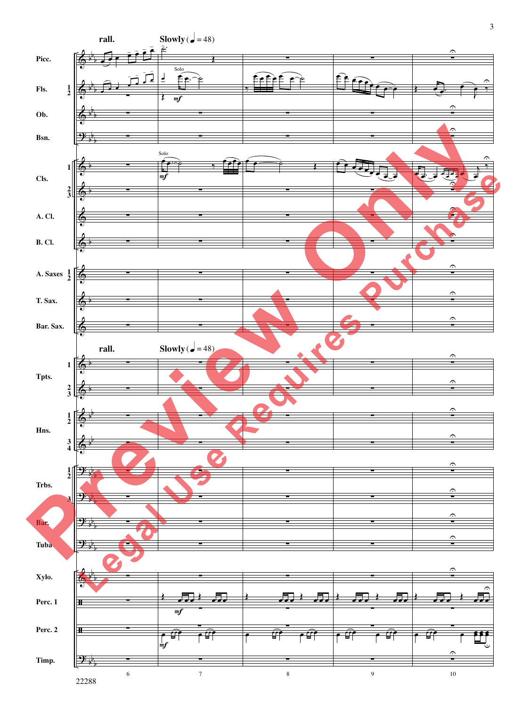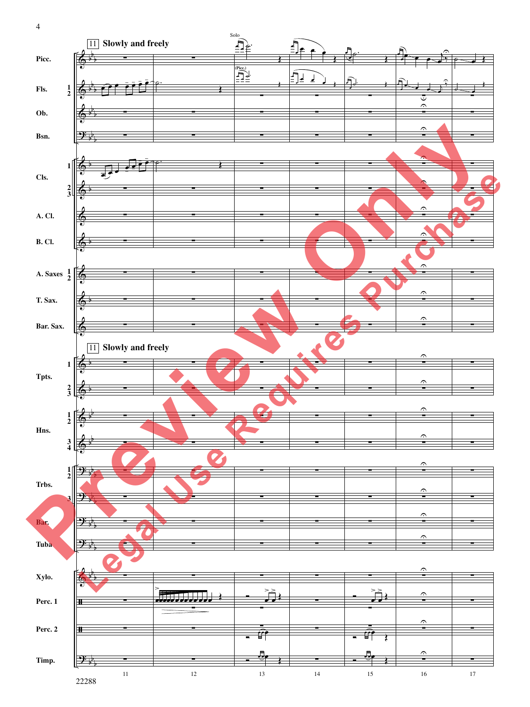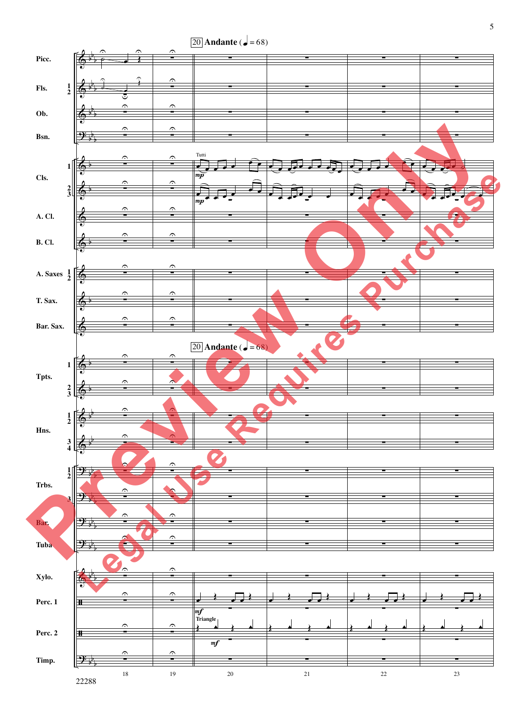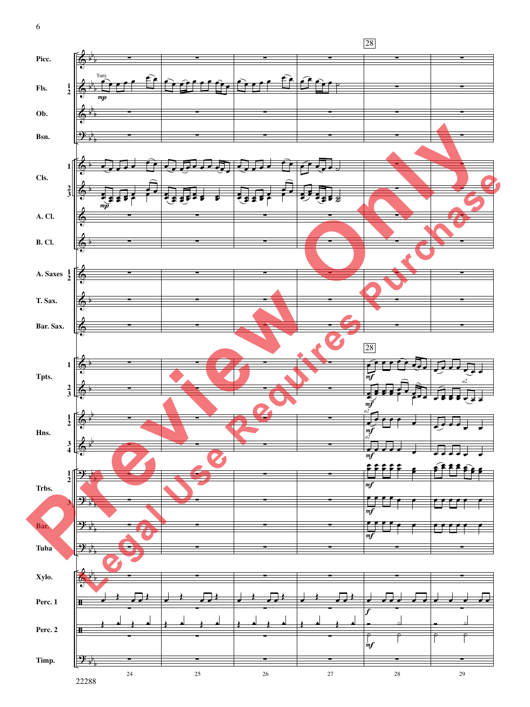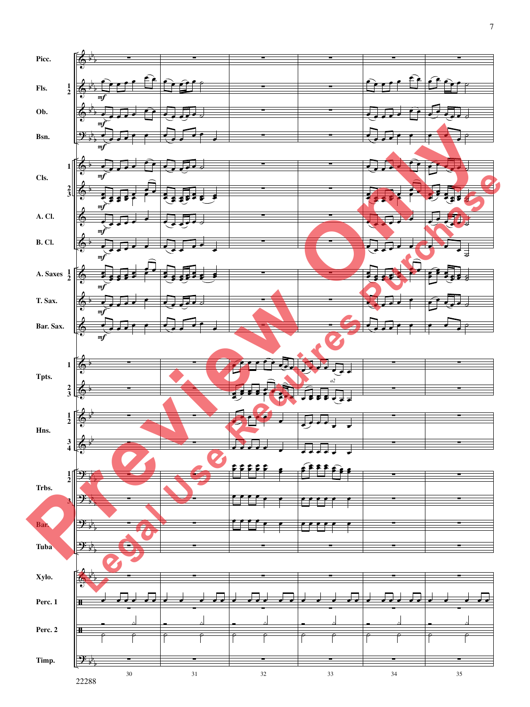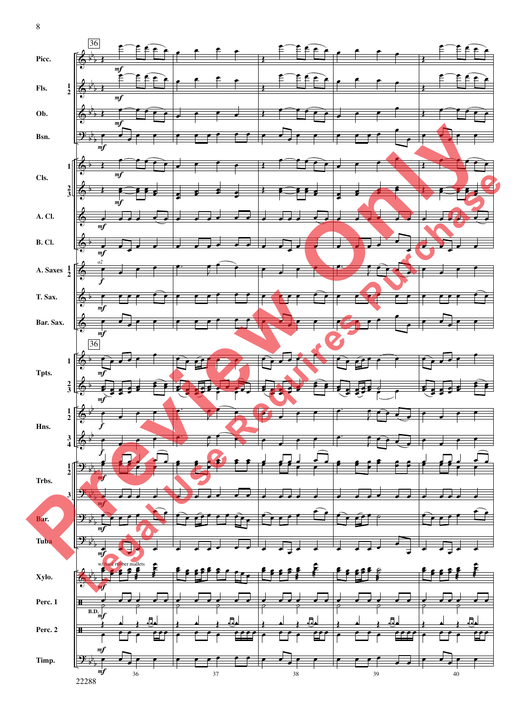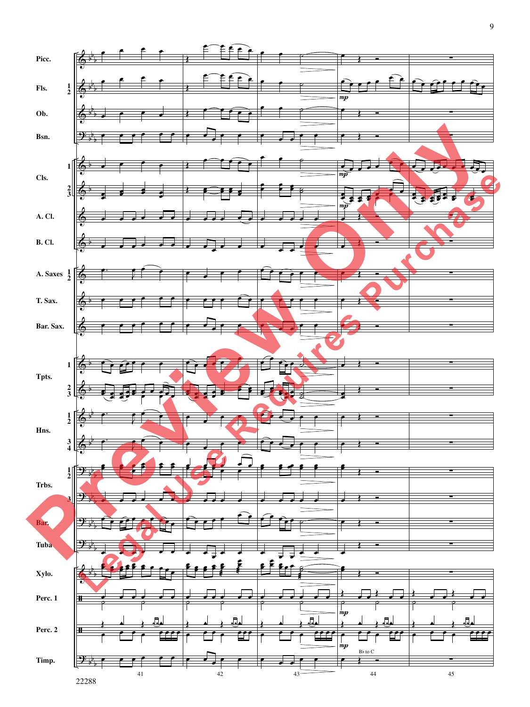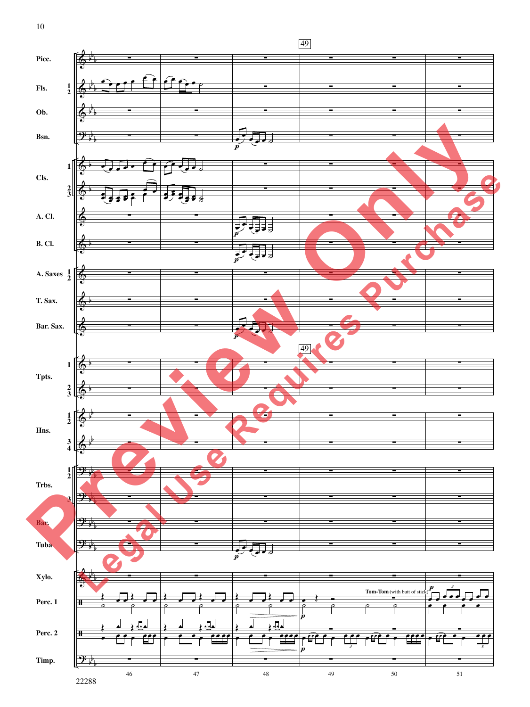



22288

51∑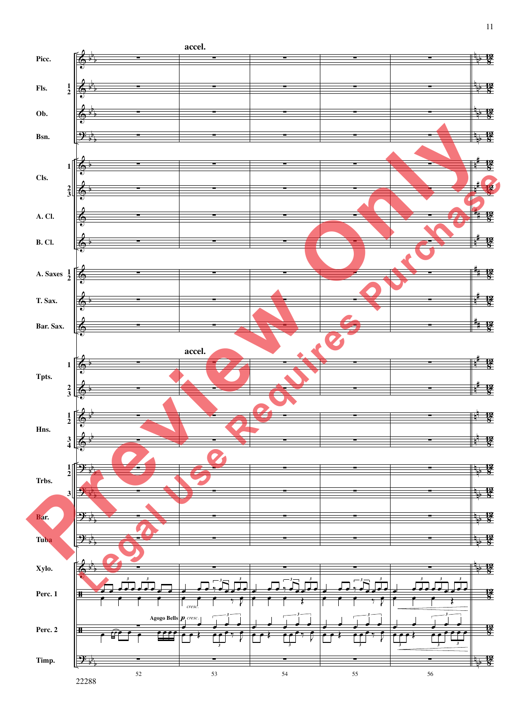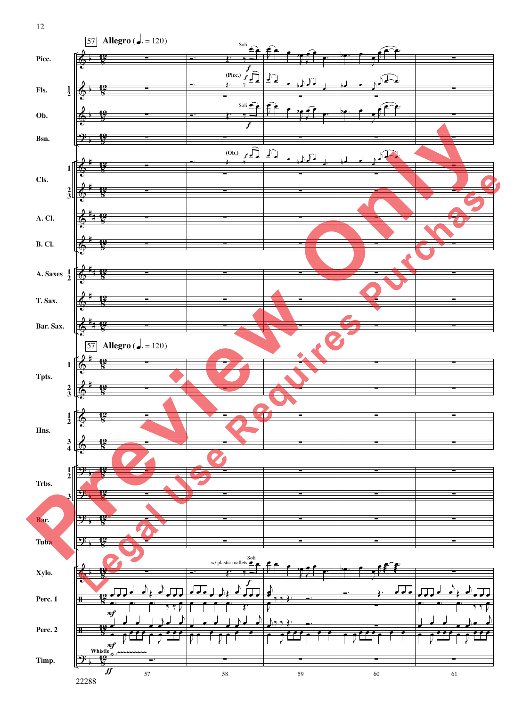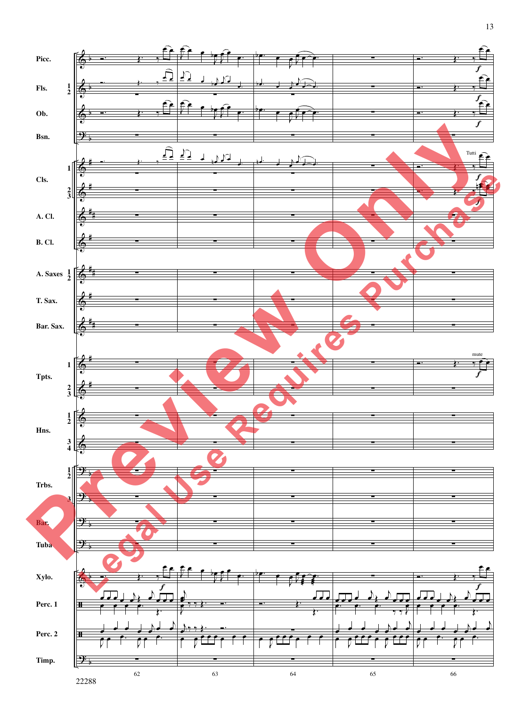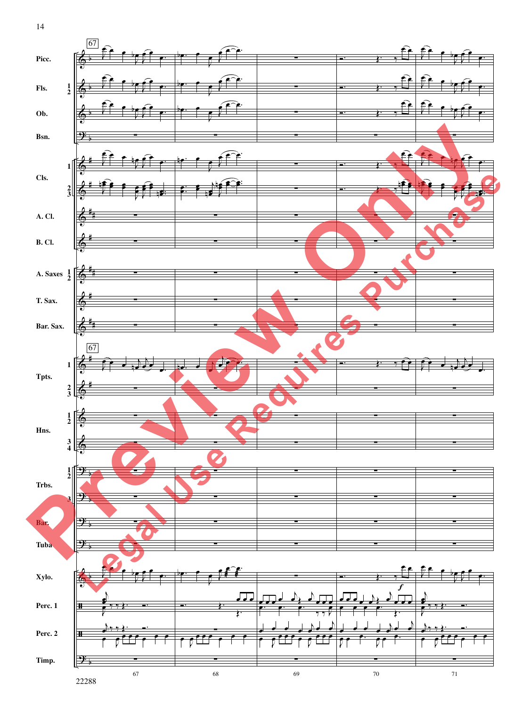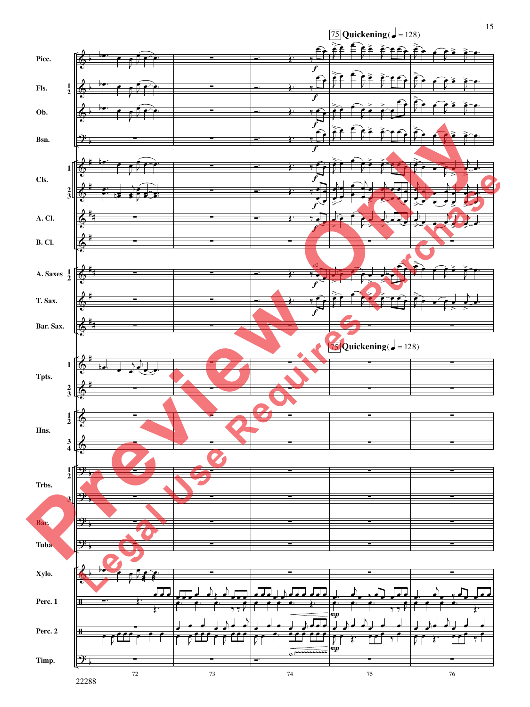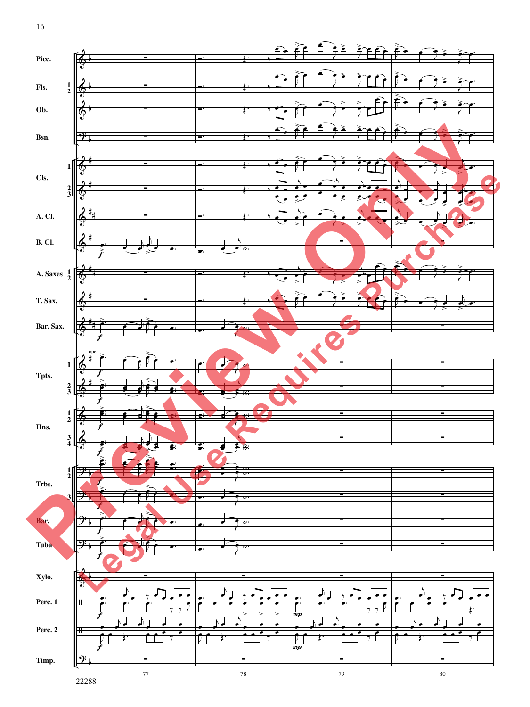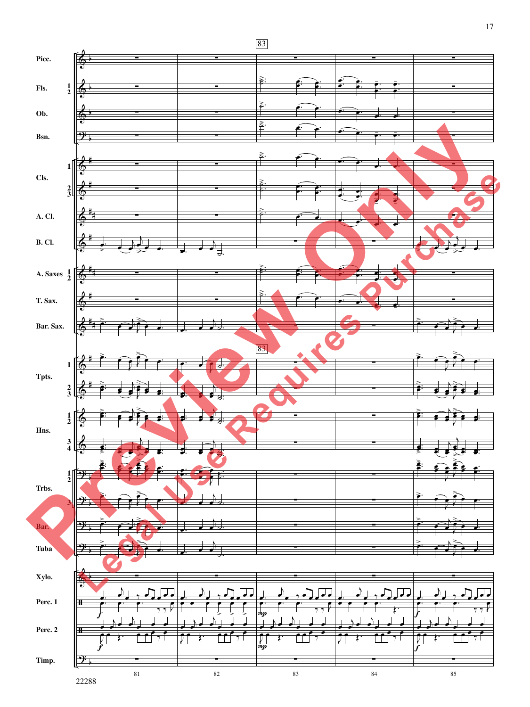

 $17\,$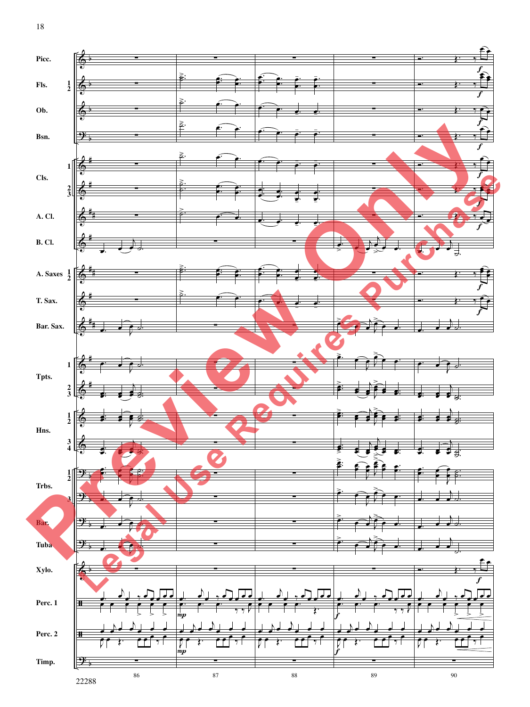

 $18\,$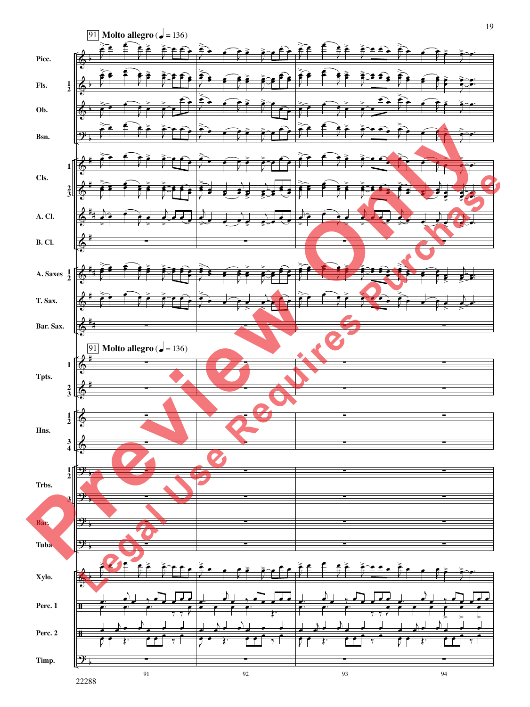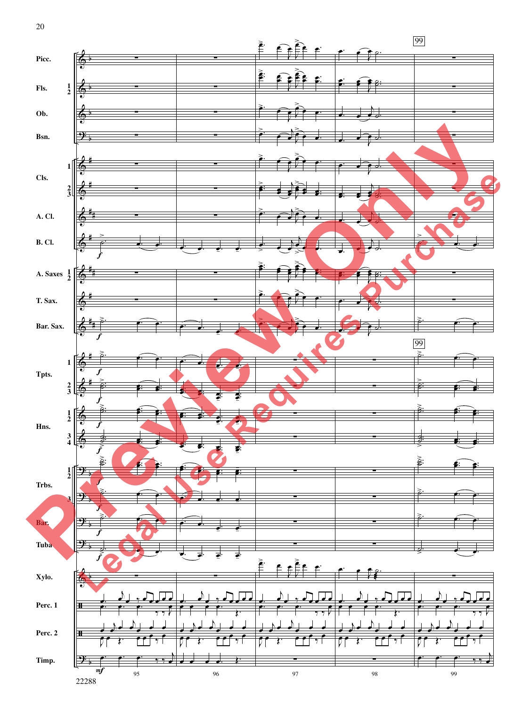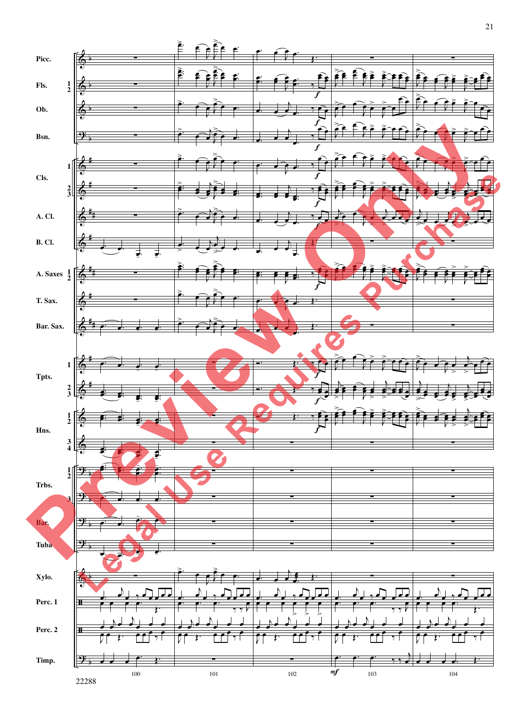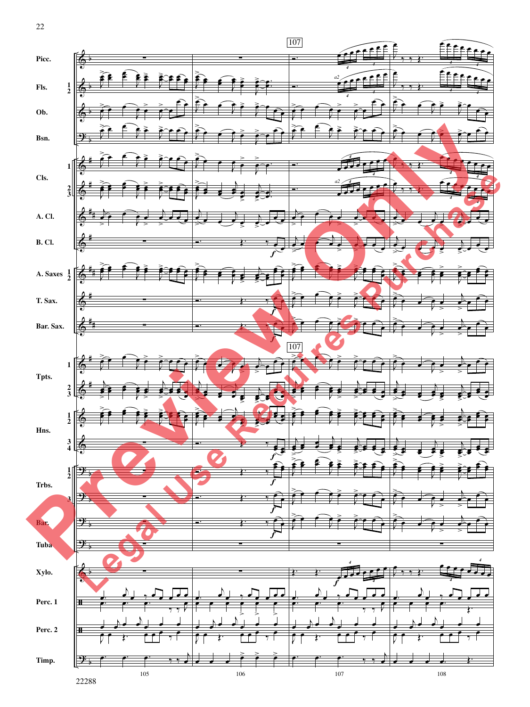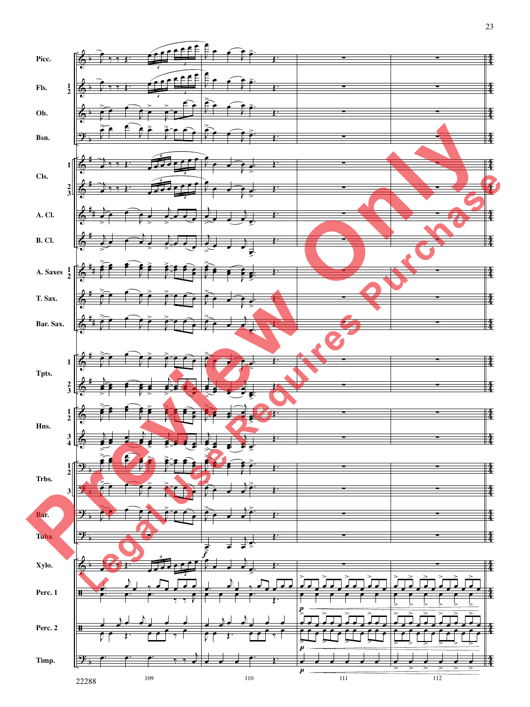